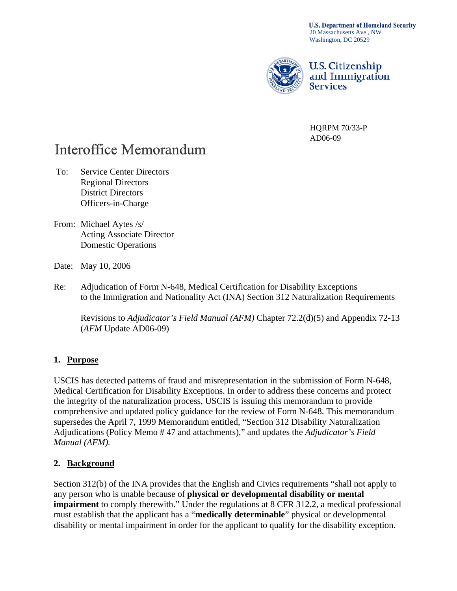**U.S. Department of Homeland Security** 20 Massachusetts Ave., NW Washington, DC 20529



**U.S. Citizenship** and Immigration **Services** 

HQRPM 70/33-P AD06-09

# Interoffice Memorandum

- To: Service Center Directors Regional Directors District Directors Officers-in-Charge
- From: Michael Aytes /*s*/ Acting Associate Director Domestic Operations

Date: May 10, 2006

Re: Adjudication of Form N-648, Medical Certification for Disability Exceptions to the Immigration and Nationality Act (INA) Section 312 Naturalization Requirements

Revisions to *Adjudicator's Field Manual (AFM)* Chapter 72.2(d)(5) and Appendix 72-13 (*AFM* Update AD06-09)

#### **1. Purpose**

USCIS has detected patterns of fraud and misrepresentation in the submission of Form N-648, Medical Certification for Disability Exceptions. In order to address these concerns and protect the integrity of the naturalization process, USCIS is issuing this memorandum to provide comprehensive and updated policy guidance for the review of Form N-648. This memorandum supersedes the April 7, 1999 Memorandum entitled, "Section 312 Disability Naturalization Adjudications (Policy Memo # 47 and attachments)," and updates the *Adjudicator's Field Manual (AFM).*

#### **2. Background**

Section 312(b) of the INA provides that the English and Civics requirements "shall not apply to any person who is unable because of **physical or developmental disability or mental impairment** to comply therewith." Under the regulations at 8 CFR 312.2, a medical professional must establish that the applicant has a "**medically determinable**" physical or developmental disability or mental impairment in order for the applicant to qualify for the disability exception.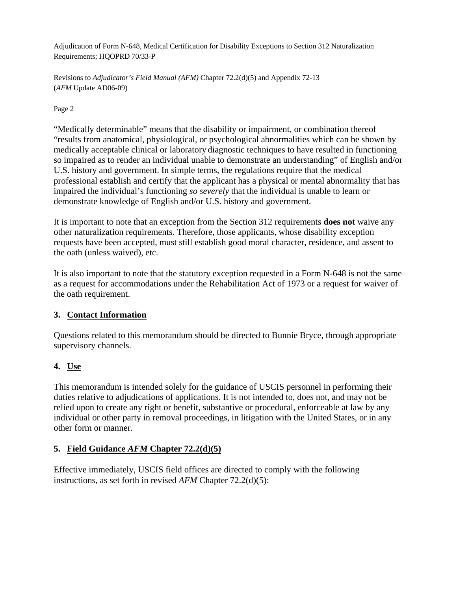Revisions to *Adjudicator's Field Manual (AFM)* Chapter 72.2(d)(5) and Appendix 72-13 (*AFM* Update AD06-09)

Page 2

"Medically determinable" means that the disability or impairment, or combination thereof "results from anatomical, physiological, or psychological abnormalities which can be shown by medically acceptable clinical or laboratory diagnostic techniques to have resulted in functioning so impaired as to render an individual unable to demonstrate an understanding" of English and/or U.S. history and government. In simple terms, the regulations require that the medical professional establish and certify that the applicant has a physical or mental abnormality that has impaired the individual's functioning *so severely* that the individual is unable to learn or demonstrate knowledge of English and/or U.S. history and government.

It is important to note that an exception from the Section 312 requirements **does not** waive any other naturalization requirements. Therefore, those applicants, whose disability exception requests have been accepted, must still establish good moral character, residence, and assent to the oath (unless waived), etc.

It is also important to note that the statutory exception requested in a Form N-648 is not the same as a request for accommodations under the Rehabilitation Act of 1973 or a request for waiver of the oath requirement.

#### **3. Contact Information**

Questions related to this memorandum should be directed to Bunnie Bryce, through appropriate supervisory channels.

#### **4. Use**

This memorandum is intended solely for the guidance of USCIS personnel in performing their duties relative to adjudications of applications. It is not intended to, does not, and may not be relied upon to create any right or benefit, substantive or procedural, enforceable at law by any individual or other party in removal proceedings, in litigation with the United States, or in any other form or manner.

## **5. Field Guidance** *AFM* **Chapter 72.2(d)(5)**

Effective immediately, USCIS field offices are directed to comply with the following instructions, as set forth in revised *AFM* Chapter 72.2(d)(5):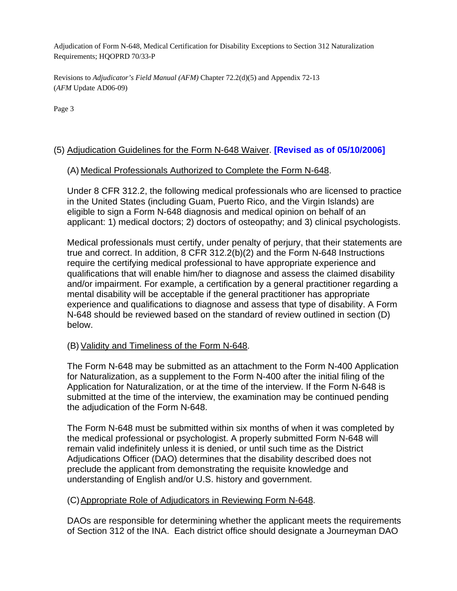Revisions to *Adjudicator's Field Manual (AFM)* Chapter 72.2(d)(5) and Appendix 72-13 (*AFM* Update AD06-09)

Page 3

### (5) Adjudication Guidelines for the Form N-648 Waiver. **[Revised as of 05/10/2006]**

#### (A) Medical Professionals Authorized to Complete the Form N-648.

Under 8 CFR 312.2, the following medical professionals who are licensed to practice in the United States (including Guam, Puerto Rico, and the Virgin Islands) are eligible to sign a Form N-648 diagnosis and medical opinion on behalf of an applicant: 1) medical doctors; 2) doctors of osteopathy; and 3) clinical psychologists.

Medical professionals must certify, under penalty of perjury, that their statements are true and correct. In addition, 8 CFR 312.2(b)(2) and the Form N-648 Instructions require the certifying medical professional to have appropriate experience and qualifications that will enable him/her to diagnose and assess the claimed disability and/or impairment. For example, a certification by a general practitioner regarding a mental disability will be acceptable if the general practitioner has appropriate experience and qualifications to diagnose and assess that type of disability. A Form N-648 should be reviewed based on the standard of review outlined in section (D) below.

#### (B) Validity and Timeliness of the Form N-648.

The Form N-648 may be submitted as an attachment to the Form N-400 Application for Naturalization, as a supplement to the Form N-400 after the initial filing of the Application for Naturalization, or at the time of the interview. If the Form N-648 is submitted at the time of the interview, the examination may be continued pending the adjudication of the Form N-648.

The Form N-648 must be submitted within six months of when it was completed by the medical professional or psychologist. A properly submitted Form N-648 will remain valid indefinitely unless it is denied, or until such time as the District Adjudications Officer (DAO) determines that the disability described does not preclude the applicant from demonstrating the requisite knowledge and understanding of English and/or U.S. history and government.

#### (C) Appropriate Role of Adjudicators in Reviewing Form N-648.

DAOs are responsible for determining whether the applicant meets the requirements of Section 312 of the INA. Each district office should designate a Journeyman DAO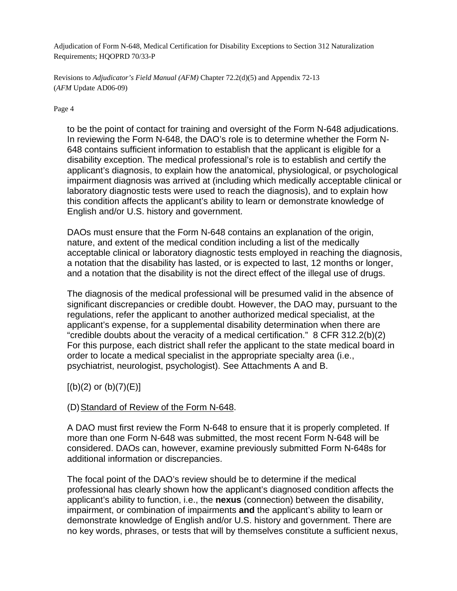Revisions to *Adjudicator's Field Manual (AFM)* Chapter 72.2(d)(5) and Appendix 72-13 (*AFM* Update AD06-09)

#### Page 4

to be the point of contact for training and oversight of the Form N-648 adjudications. In reviewing the Form N-648, the DAO's role is to determine whether the Form N-648 contains sufficient information to establish that the applicant is eligible for a disability exception. The medical professional's role is to establish and certify the applicant's diagnosis, to explain how the anatomical, physiological, or psychological impairment diagnosis was arrived at (including which medically acceptable clinical or laboratory diagnostic tests were used to reach the diagnosis), and to explain how this condition affects the applicant's ability to learn or demonstrate knowledge of English and/or U.S. history and government.

DAOs must ensure that the Form N-648 contains an explanation of the origin, nature, and extent of the medical condition including a list of the medically acceptable clinical or laboratory diagnostic tests employed in reaching the diagnosis, a notation that the disability has lasted, or is expected to last, 12 months or longer, and a notation that the disability is not the direct effect of the illegal use of drugs.

The diagnosis of the medical professional will be presumed valid in the absence of significant discrepancies or credible doubt. However, the DAO may, pursuant to the regulations, refer the applicant to another authorized medical specialist, at the applicant's expense, for a supplemental disability determination when there are "credible doubts about the veracity of a medical certification." 8 CFR 312.2(b)(2) For this purpose, each district shall refer the applicant to the state medical board in order to locate a medical specialist in the appropriate specialty area (i.e., psychiatrist, neurologist, psychologist). See Attachments A and B.

 $[(b)(2)$  or  $(b)(7)(E)]$ 

#### (D) Standard of Review of the Form N-648.

A DAO must first review the Form N-648 to ensure that it is properly completed. If more than one Form N-648 was submitted, the most recent Form N-648 will be considered. DAOs can, however, examine previously submitted Form N-648s for additional information or discrepancies.

The focal point of the DAO's review should be to determine if the medical professional has clearly shown how the applicant's diagnosed condition affects the applicant's ability to function, i.e., the **nexus** (connection) between the disability, impairment, or combination of impairments **and** the applicant's ability to learn or demonstrate knowledge of English and/or U.S. history and government. There are no key words, phrases, or tests that will by themselves constitute a sufficient nexus,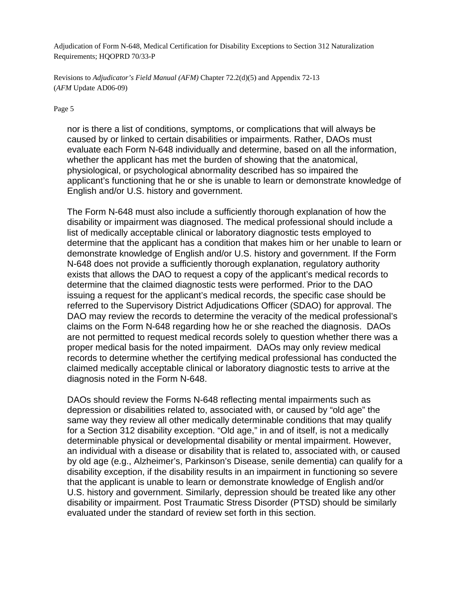Revisions to *Adjudicator's Field Manual (AFM)* Chapter 72.2(d)(5) and Appendix 72-13 (*AFM* Update AD06-09)

#### Page 5

nor is there a list of conditions, symptoms, or complications that will always be caused by or linked to certain disabilities or impairments. Rather, DAOs must evaluate each Form N-648 individually and determine, based on all the information, whether the applicant has met the burden of showing that the anatomical, physiological, or psychological abnormality described has so impaired the applicant's functioning that he or she is unable to learn or demonstrate knowledge of English and/or U.S. history and government.

The Form N-648 must also include a sufficiently thorough explanation of how the disability or impairment was diagnosed. The medical professional should include a list of medically acceptable clinical or laboratory diagnostic tests employed to determine that the applicant has a condition that makes him or her unable to learn or demonstrate knowledge of English and/or U.S. history and government. If the Form N-648 does not provide a sufficiently thorough explanation, regulatory authority exists that allows the DAO to request a copy of the applicant's medical records to determine that the claimed diagnostic tests were performed. Prior to the DAO issuing a request for the applicant's medical records, the specific case should be referred to the Supervisory District Adjudications Officer (SDAO) for approval. The DAO may review the records to determine the veracity of the medical professional's claims on the Form N-648 regarding how he or she reached the diagnosis. DAOs are not permitted to request medical records solely to question whether there was a proper medical basis for the noted impairment. DAOs may only review medical records to determine whether the certifying medical professional has conducted the claimed medically acceptable clinical or laboratory diagnostic tests to arrive at the diagnosis noted in the Form N-648.

DAOs should review the Forms N-648 reflecting mental impairments such as depression or disabilities related to, associated with, or caused by "old age" the same way they review all other medically determinable conditions that may qualify for a Section 312 disability exception. "Old age," in and of itself, is not a medically determinable physical or developmental disability or mental impairment. However, an individual with a disease or disability that is related to, associated with, or caused by old age (e.g., Alzheimer's, Parkinson's Disease, senile dementia) can qualify for a disability exception, if the disability results in an impairment in functioning so severe that the applicant is unable to learn or demonstrate knowledge of English and/or U.S. history and government. Similarly, depression should be treated like any other disability or impairment. Post Traumatic Stress Disorder (PTSD) should be similarly evaluated under the standard of review set forth in this section.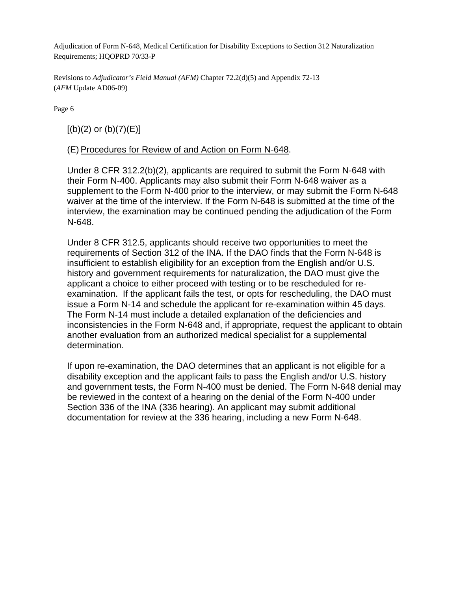Revisions to *Adjudicator's Field Manual (AFM)* Chapter 72.2(d)(5) and Appendix 72-13 (*AFM* Update AD06-09)

Page 6

### $[(b)(2)$  or  $(b)(7)(E)]$

#### (E) Procedures for Review of and Action on Form N-648.

Under 8 CFR 312.2(b)(2), applicants are required to submit the Form N-648 with their Form N-400. Applicants may also submit their Form N-648 waiver as a supplement to the Form N-400 prior to the interview, or may submit the Form N-648 waiver at the time of the interview. If the Form N-648 is submitted at the time of the interview, the examination may be continued pending the adjudication of the Form N-648.

Under 8 CFR 312.5, applicants should receive two opportunities to meet the requirements of Section 312 of the INA. If the DAO finds that the Form N-648 is insufficient to establish eligibility for an exception from the English and/or U.S. history and government requirements for naturalization, the DAO must give the applicant a choice to either proceed with testing or to be rescheduled for reexamination. If the applicant fails the test, or opts for rescheduling, the DAO must issue a Form N-14 and schedule the applicant for re-examination within 45 days. The Form N-14 must include a detailed explanation of the deficiencies and inconsistencies in the Form N-648 and, if appropriate, request the applicant to obtain another evaluation from an authorized medical specialist for a supplemental determination.

If upon re-examination, the DAO determines that an applicant is not eligible for a disability exception and the applicant fails to pass the English and/or U.S. history and government tests, the Form N-400 must be denied. The Form N-648 denial may be reviewed in the context of a hearing on the denial of the Form N-400 under Section 336 of the INA (336 hearing). An applicant may submit additional documentation for review at the 336 hearing, including a new Form N-648.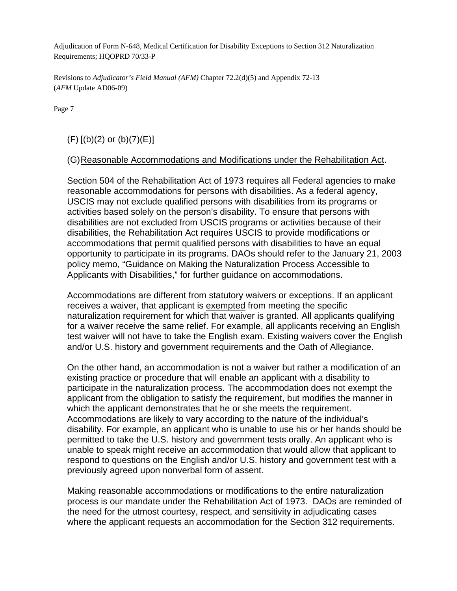Revisions to *Adjudicator's Field Manual (AFM)* Chapter 72.2(d)(5) and Appendix 72-13 (*AFM* Update AD06-09)

Page 7

### $(F)$  [(b)(2) or (b)(7)(E)]

#### (G) Reasonable Accommodations and Modifications under the Rehabilitation Act.

Section 504 of the Rehabilitation Act of 1973 requires all Federal agencies to make reasonable accommodations for persons with disabilities. As a federal agency, USCIS may not exclude qualified persons with disabilities from its programs or activities based solely on the person's disability. To ensure that persons with disabilities are not excluded from USCIS programs or activities because of their disabilities, the Rehabilitation Act requires USCIS to provide modifications or accommodations that permit qualified persons with disabilities to have an equal opportunity to participate in its programs. DAOs should refer to the January 21, 2003 policy memo, "Guidance on Making the Naturalization Process Accessible to Applicants with Disabilities," for further guidance on accommodations.

Accommodations are different from statutory waivers or exceptions. If an applicant receives a waiver, that applicant is exempted from meeting the specific naturalization requirement for which that waiver is granted. All applicants qualifying for a waiver receive the same relief. For example, all applicants receiving an English test waiver will not have to take the English exam. Existing waivers cover the English and/or U.S. history and government requirements and the Oath of Allegiance.

On the other hand, an accommodation is not a waiver but rather a modification of an existing practice or procedure that will enable an applicant with a disability to participate in the naturalization process. The accommodation does not exempt the applicant from the obligation to satisfy the requirement, but modifies the manner in which the applicant demonstrates that he or she meets the requirement. Accommodations are likely to vary according to the nature of the individual's disability. For example, an applicant who is unable to use his or her hands should be permitted to take the U.S. history and government tests orally. An applicant who is unable to speak might receive an accommodation that would allow that applicant to respond to questions on the English and/or U.S. history and government test with a previously agreed upon nonverbal form of assent.

Making reasonable accommodations or modifications to the entire naturalization process is our mandate under the Rehabilitation Act of 1973. DAOs are reminded of the need for the utmost courtesy, respect, and sensitivity in adjudicating cases where the applicant requests an accommodation for the Section 312 requirements.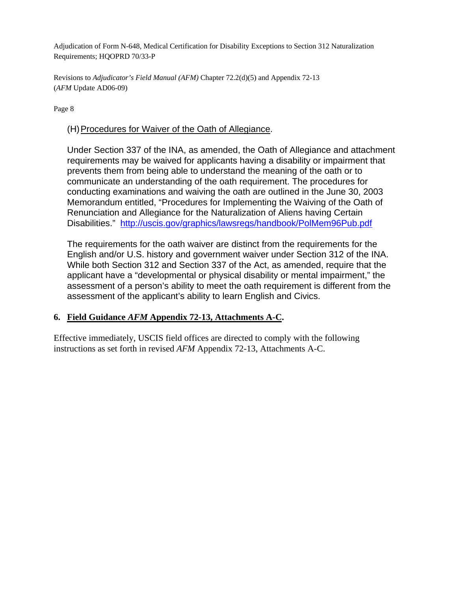Revisions to *Adjudicator's Field Manual (AFM)* Chapter 72.2(d)(5) and Appendix 72-13 (*AFM* Update AD06-09)

Page 8

#### (H) Procedures for Waiver of the Oath of Allegiance.

Under Section 337 of the INA, as amended, the Oath of Allegiance and attachment requirements may be waived for applicants having a disability or impairment that prevents them from being able to understand the meaning of the oath or to communicate an understanding of the oath requirement. The procedures for conducting examinations and waiving the oath are outlined in the June 30, 2003 Memorandum entitled, "Procedures for Implementing the Waiving of the Oath of Renunciation and Allegiance for the Naturalization of Aliens having Certain Disabilities." [http://uscis.gov/graphics/lawsregs/handbook/PolMem96Pub.pdf](../../../uscis.gov/graphics/lawsregs/handbook/PolMem96Pub.pdf)

The requirements for the oath waiver are distinct from the requirements for the English and/or U.S. history and government waiver under Section 312 of the INA. While both Section 312 and Section 337 of the Act, as amended, require that the applicant have a "developmental or physical disability or mental impairment," the assessment of a person's ability to meet the oath requirement is different from the assessment of the applicant's ability to learn English and Civics.

#### **6. Field Guidance** *AFM* **Appendix 72-13, Attachments A-C.**

Effective immediately, USCIS field offices are directed to comply with the following instructions as set forth in revised *AFM* Appendix 72-13, Attachments A-C.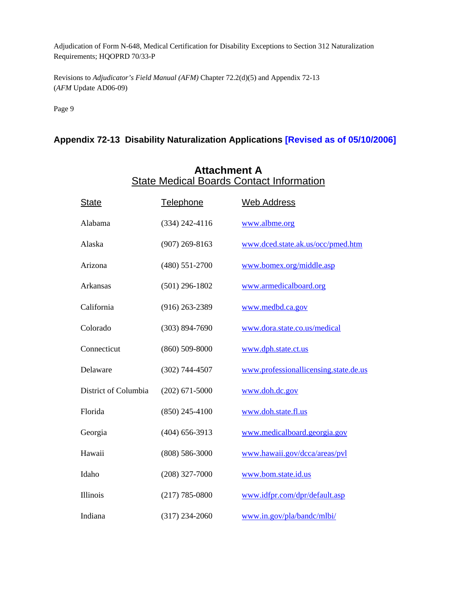Revisions to *Adjudicator's Field Manual (AFM)* Chapter 72.2(d)(5) and Appendix 72-13 (*AFM* Update AD06-09)

Page 9

# **Appendix 72-13 Disability Naturalization Applications [Revised as of 05/10/2006]**

**Attachment A** 

| <b>State Medical Boards Contact Information</b> |                    |                                       |  |
|-------------------------------------------------|--------------------|---------------------------------------|--|
| <b>State</b>                                    | Telephone          | <b>Web Address</b>                    |  |
| Alabama                                         | $(334)$ 242-4116   | www.albme.org                         |  |
| Alaska                                          | $(907)$ 269-8163   | www.dced.state.ak.us/occ/pmed.htm     |  |
| Arizona                                         | $(480) 551 - 2700$ | www.bomex.org/middle.asp              |  |
| Arkansas                                        | $(501)$ 296-1802   | www.armedicalboard.org                |  |
| California                                      | $(916)$ 263-2389   | www.medbd.ca.gov                      |  |
| Colorado                                        | $(303) 894 - 7690$ | www.dora.state.co.us/medical          |  |
| Connecticut                                     | $(860)$ 509-8000   | www.dph.state.ct.us                   |  |
| Delaware                                        | $(302)$ 744-4507   | www.professionallicensing.state.de.us |  |
| District of Columbia                            | $(202)$ 671-5000   | www.doh.dc.gov                        |  |
| Florida                                         | $(850)$ 245-4100   | www.doh.state.fl.us                   |  |
| Georgia                                         | $(404)$ 656-3913   | www.medicalboard.georgia.gov          |  |
| Hawaii                                          | $(808) 586 - 3000$ | www.hawaii.gov/dcca/areas/pvl         |  |
| Idaho                                           | $(208)$ 327-7000   | www.bom.state.id.us                   |  |
| Illinois                                        | $(217) 785 - 0800$ | www.idfpr.com/dpr/default.asp         |  |
| Indiana                                         | $(317)$ 234-2060   | www.in.gov/pla/bandc/mlbi/            |  |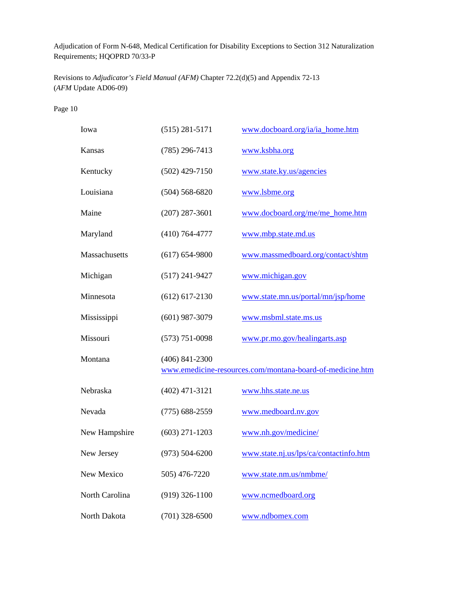Revisions to *Adjudicator's Field Manual (AFM)* Chapter 72.2(d)(5) and Appendix 72-13 (*AFM* Update AD06-09)

| Iowa           | $(515) 281 - 5171$ | www.docboard.org/ia/ia_home.htm                           |
|----------------|--------------------|-----------------------------------------------------------|
| Kansas         | $(785)$ 296-7413   | www.ksbha.org                                             |
| Kentucky       | $(502)$ 429-7150   | www.state.ky.us/agencies                                  |
| Louisiana      | $(504) 568 - 6820$ | www.lsbme.org                                             |
| Maine          | $(207)$ 287-3601   | www.docboard.org/me/me_home.htm                           |
| Maryland       | $(410)$ 764-4777   | www.mbp.state.md.us                                       |
| Massachusetts  | $(617) 654-9800$   | www.massmedboard.org/contact/shtm                         |
| Michigan       | $(517)$ 241-9427   | www.michigan.gov                                          |
| Minnesota      | $(612) 617 - 2130$ | www.state.mn.us/portal/mn/jsp/home                        |
| Mississippi    | $(601)$ 987-3079   | www.msbml.state.ms.us                                     |
| Missouri       | $(573) 751 - 0098$ | www.pr.mo.gov/healingarts.asp                             |
| Montana        | $(406)$ 841-2300   | www.emedicine-resources.com/montana-board-of-medicine.htm |
| Nebraska       | $(402)$ 471-3121   | www.hhs.state.ne.us                                       |
| Nevada         | $(775)$ 688-2559   | www.medboard.nv.gov                                       |
| New Hampshire  | $(603)$ 271-1203   | www.nh.gov/medicine/                                      |
| New Jersey     | $(973) 504 - 6200$ | www.state.nj.us/lps/ca/contactinfo.htm                    |
| New Mexico     | 505) 476-7220      | www.state.nm.us/nmbme/                                    |
| North Carolina | $(919)$ 326-1100   | www.ncmedboard.org                                        |
| North Dakota   | $(701)$ 328-6500   | www.ndbomex.com                                           |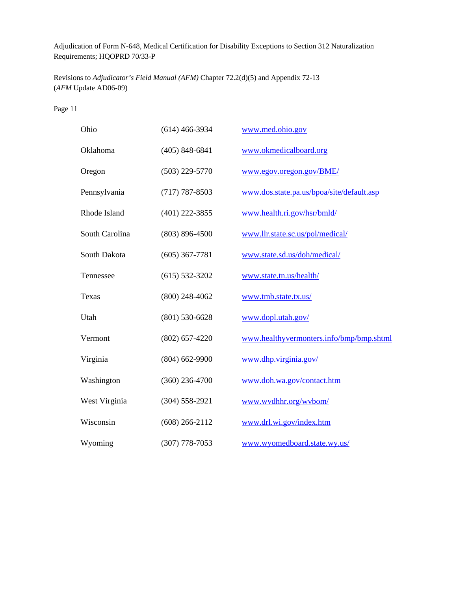Revisions to *Adjudicator's Field Manual (AFM)* Chapter 72.2(d)(5) and Appendix 72-13 (*AFM* Update AD06-09)

| Ohio           | $(614)$ 466-3934   | www.med.ohio.gov                          |
|----------------|--------------------|-------------------------------------------|
| Oklahoma       | $(405) 848 - 6841$ | www.okmedicalboard.org                    |
| Oregon         | $(503)$ 229-5770   | www.egov.oregon.gov/BME/                  |
| Pennsylvania   | $(717)$ 787-8503   | www.dos.state.pa.us/bpoa/site/default.asp |
| Rhode Island   | $(401)$ 222-3855   | www.health.ri.gov/hsr/bmld/               |
| South Carolina | $(803) 896 - 4500$ | www.llr.state.sc.us/pol/medical/          |
| South Dakota   | $(605)$ 367-7781   | www.state.sd.us/doh/medical/              |
| Tennessee      | $(615) 532 - 3202$ | www.state.tn.us/health/                   |
| Texas          | $(800)$ 248-4062   | www.tmb.state.tx.us/                      |
| Utah           | $(801)$ 530-6628   | www.dopl.utah.gov/                        |
| Vermont        | $(802) 657 - 4220$ | www.healthyvermonters.info/bmp/bmp.shtml  |
| Virginia       | $(804)$ 662-9900   | www.dhp.virginia.gov/                     |
| Washington     | $(360)$ 236-4700   | www.doh.wa.gov/contact.htm                |
| West Virginia  | $(304) 558 - 2921$ | www.wvdhhr.org/wvbom/                     |
| Wisconsin      | $(608)$ 266-2112   | www.drl.wi.gov/index.htm                  |
| Wyoming        | $(307)$ 778-7053   | www.wyomedboard.state.wy.us/              |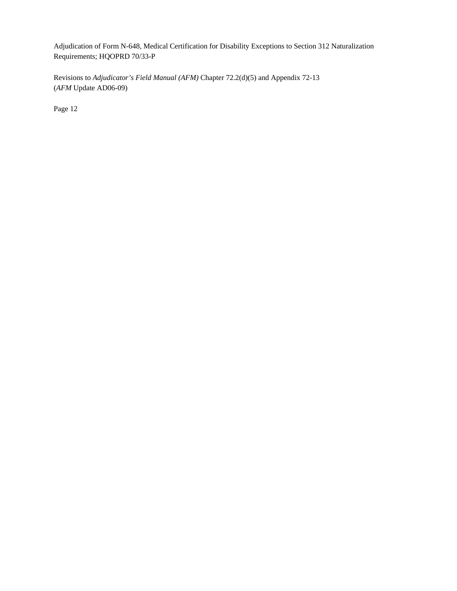Revisions to *Adjudicator's Field Manual (AFM)* Chapter 72.2(d)(5) and Appendix 72-13 (*AFM* Update AD06-09)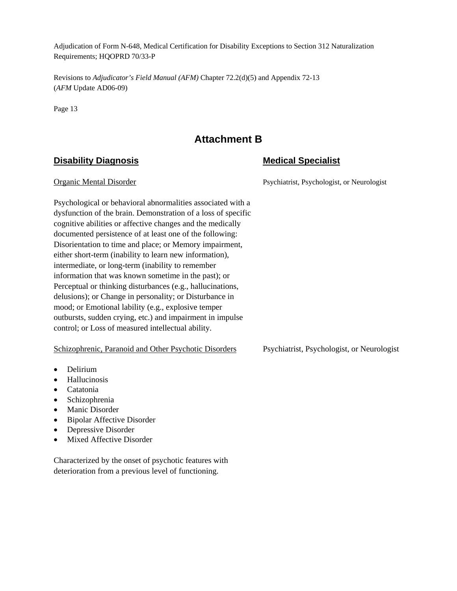Revisions to *Adjudicator's Field Manual (AFM)* Chapter 72.2(d)(5) and Appendix 72-13 (*AFM* Update AD06-09)

Page 13

# **Attachment B**

# **Disability Diagnosis Medical Specialist**

#### Organic Mental Disorder

Psychiatrist, Psychologist, or Neurologist

Psychiatrist, Psychologist, or Neurologist

Psychological or behavioral abnormalities associated with a dysfunction of the brain. Demonstration of a loss of specific cognitive abilities or affective changes and the medically documented persistence of at least one of the following: Disorientation to time and place; or Memory impairment, either short-term (inability to learn new information), intermediate, or long-term (inability to remember information that was known sometime in the past); or Perceptual or thinking disturbances (e.g., hallucinations, delusions); or Change in personality; or Disturbance in mood; or Emotional lability (e.g., explosive temper outbursts, sudden crying, etc.) and impairment in impulse control; or Loss of measured intellectual ability.

#### Schizophrenic, Paranoid and Other Psychotic Disorders

- Delirium
- Hallucinosis
- Catatonia
- Schizophrenia
- Manic Disorder
- Bipolar Affective Disorder
- Depressive Disorder
- Mixed Affective Disorder

Characterized by the onset of psychotic features with deterioration from a previous level of functioning.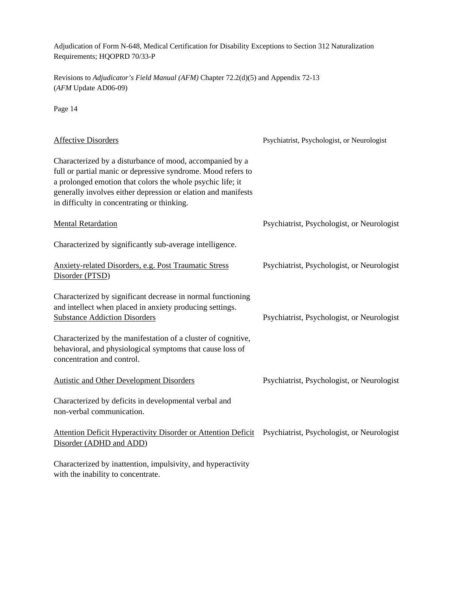Revisions to *Adjudicator's Field Manual (AFM)* Chapter 72.2(d)(5) and Appendix 72-13 (*AFM* Update AD06-09)

Page 14

| <b>Affective Disorders</b>                                                                                                                                                                                                                                                                             | Psychiatrist, Psychologist, or Neurologist |
|--------------------------------------------------------------------------------------------------------------------------------------------------------------------------------------------------------------------------------------------------------------------------------------------------------|--------------------------------------------|
| Characterized by a disturbance of mood, accompanied by a<br>full or partial manic or depressive syndrome. Mood refers to<br>a prolonged emotion that colors the whole psychic life; it<br>generally involves either depression or elation and manifests<br>in difficulty in concentrating or thinking. |                                            |
| <b>Mental Retardation</b>                                                                                                                                                                                                                                                                              | Psychiatrist, Psychologist, or Neurologist |
| Characterized by significantly sub-average intelligence.                                                                                                                                                                                                                                               |                                            |
| <b>Anxiety-related Disorders, e.g. Post Traumatic Stress</b><br>Disorder (PTSD)                                                                                                                                                                                                                        | Psychiatrist, Psychologist, or Neurologist |
| Characterized by significant decrease in normal functioning<br>and intellect when placed in anxiety producing settings.<br><b>Substance Addiction Disorders</b>                                                                                                                                        | Psychiatrist, Psychologist, or Neurologist |
| Characterized by the manifestation of a cluster of cognitive,<br>behavioral, and physiological symptoms that cause loss of<br>concentration and control.                                                                                                                                               |                                            |
| <b>Autistic and Other Development Disorders</b>                                                                                                                                                                                                                                                        | Psychiatrist, Psychologist, or Neurologist |
| Characterized by deficits in developmental verbal and<br>non-verbal communication.                                                                                                                                                                                                                     |                                            |
| <b>Attention Deficit Hyperactivity Disorder or Attention Deficit</b><br>Disorder (ADHD and ADD)                                                                                                                                                                                                        | Psychiatrist, Psychologist, or Neurologist |

Characterized by inattention, impulsivity, and hyperactivity with the inability to concentrate.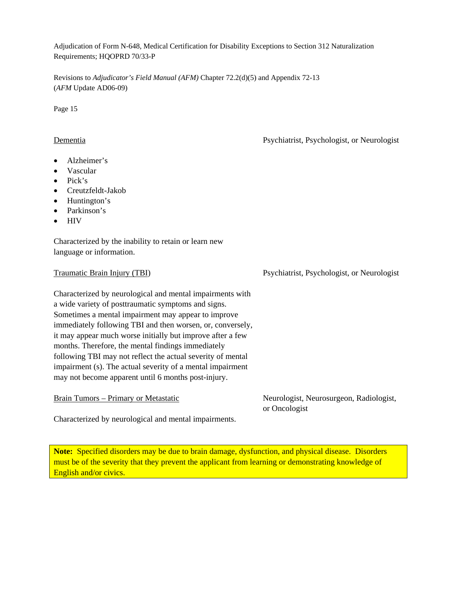Revisions to *Adjudicator's Field Manual (AFM)* Chapter 72.2(d)(5) and Appendix 72-13 (*AFM* Update AD06-09)

Page 15

#### Dementia

- Alzheimer's
- Vascular
- Pick's
- Creutzfeldt-Jakob
- Huntington's
- Parkinson's
- HIV

Characterized by the inability to retain or learn new language or information.

#### Traumatic Brain Injury (TBI)

Characterized by neurological and mental impairments with a wide variety of posttraumatic symptoms and signs. Sometimes a mental impairment may appear to improve immediately following TBI and then worsen, or, conversely, it may appear much worse initially but improve after a few months. Therefore, the mental findings immediately following TBI may not reflect the actual severity of mental impairment (s). The actual severity of a mental impairment may not become apparent until 6 months post-injury.

| Brain Tumors – Primary or Metastatic |  |
|--------------------------------------|--|
|--------------------------------------|--|

Neurologist, Neurosurgeon, Radiologist, or Oncologist

Characterized by neurological and mental impairments.

**Note:** Specified disorders may be due to brain damage, dysfunction, and physical disease. Disorders must be of the severity that they prevent the applicant from learning or demonstrating knowledge of English and/or civics.

Psychiatrist, Psychologist, or Neurologist

Psychiatrist, Psychologist, or Neurologist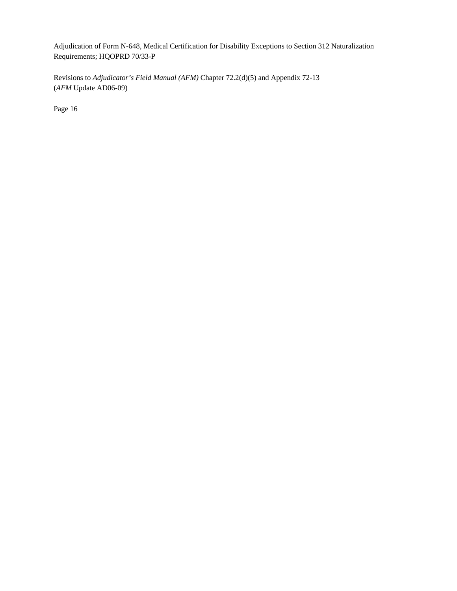Revisions to *Adjudicator's Field Manual (AFM)* Chapter 72.2(d)(5) and Appendix 72-13 (*AFM* Update AD06-09)